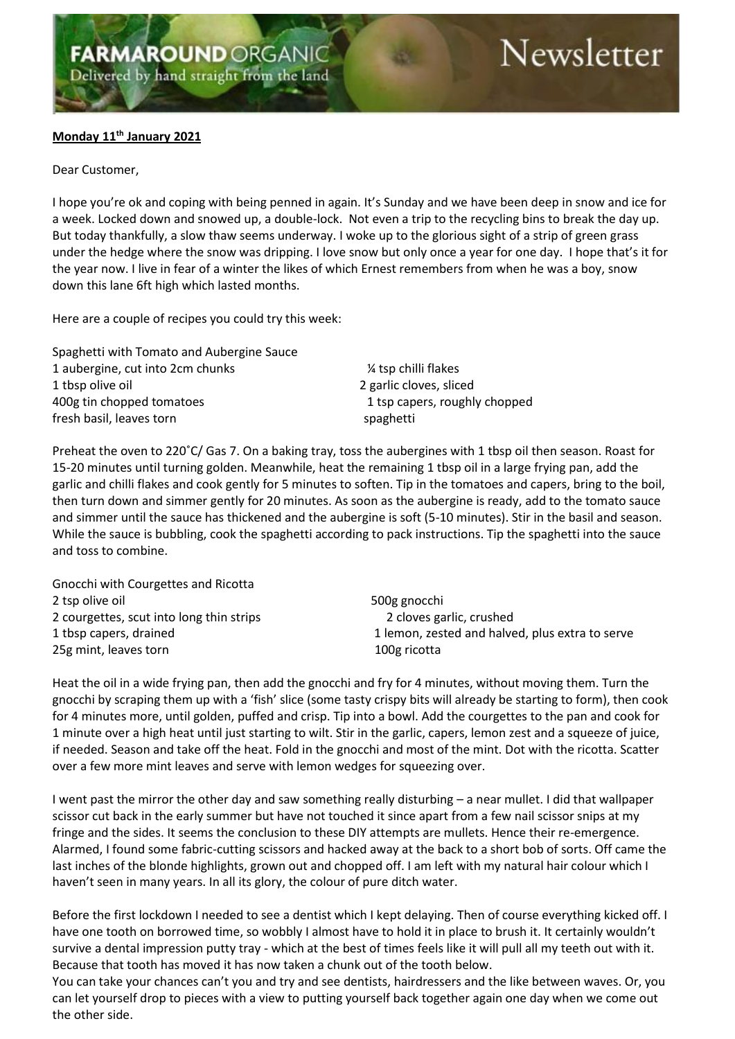## Newsletter

## **Monday 11 th January 2021**

## Dear Customer,

I hope you're ok and coping with being penned in again. It's Sunday and we have been deep in snow and ice for a week. Locked down and snowed up, a double-lock. Not even a trip to the recycling bins to break the day up. But today thankfully, a slow thaw seems underway. I woke up to the glorious sight of a strip of green grass under the hedge where the snow was dripping. I love snow but only once a year for one day. I hope that's it for the year now. I live in fear of a winter the likes of which Ernest remembers from when he was a boy, snow down this lane 6ft high which lasted months.

Here are a couple of recipes you could try this week:

Spaghetti with Tomato and Aubergine Sauce 1 aubergine, cut into 2cm chunks  $\frac{1}{4}$  tsp chilli flakes 1 tbsp olive oil 2 garlic cloves, sliced 400g tin chopped tomatoes 1 tsp capers, roughly chopped 1 tsp capers, roughly chopped fresh basil, leaves torn spaghetti

Preheat the oven to 220˚C/ Gas 7. On a baking tray, toss the aubergines with 1 tbsp oil then season. Roast for 15-20 minutes until turning golden. Meanwhile, heat the remaining 1 tbsp oil in a large frying pan, add the garlic and chilli flakes and cook gently for 5 minutes to soften. Tip in the tomatoes and capers, bring to the boil, then turn down and simmer gently for 20 minutes. As soon as the aubergine is ready, add to the tomato sauce and simmer until the sauce has thickened and the aubergine is soft (5-10 minutes). Stir in the basil and season. While the sauce is bubbling, cook the spaghetti according to pack instructions. Tip the spaghetti into the sauce and toss to combine.

Gnocchi with Courgettes and Ricotta 2 tsp olive oil 500g gnocchi 2 courgettes, scut into long thin strips 2 cloves garlic, crushed 25g mint, leaves torn 100g ricotta

1 tbsp capers, drained 1 lemon, zested and halved, plus extra to serve

Heat the oil in a wide frying pan, then add the gnocchi and fry for 4 minutes, without moving them. Turn the gnocchi by scraping them up with a 'fish' slice (some tasty crispy bits will already be starting to form), then cook for 4 minutes more, until golden, puffed and crisp. Tip into a bowl. Add the courgettes to the pan and cook for 1 minute over a high heat until just starting to wilt. Stir in the garlic, capers, lemon zest and a squeeze of juice, if needed. Season and take off the heat. Fold in the gnocchi and most of the mint. Dot with the ricotta. Scatter over a few more mint leaves and serve with lemon wedges for squeezing over.

I went past the mirror the other day and saw something really disturbing – a near mullet. I did that wallpaper scissor cut back in the early summer but have not touched it since apart from a few nail scissor snips at my fringe and the sides. It seems the conclusion to these DIY attempts are mullets. Hence their re-emergence. Alarmed, I found some fabric-cutting scissors and hacked away at the back to a short bob of sorts. Off came the last inches of the blonde highlights, grown out and chopped off. I am left with my natural hair colour which I haven't seen in many years. In all its glory, the colour of pure ditch water.

Before the first lockdown I needed to see a dentist which I kept delaying. Then of course everything kicked off. I have one tooth on borrowed time, so wobbly I almost have to hold it in place to brush it. It certainly wouldn't survive a dental impression putty tray - which at the best of times feels like it will pull all my teeth out with it. Because that tooth has moved it has now taken a chunk out of the tooth below.

You can take your chances can't you and try and see dentists, hairdressers and the like between waves. Or, you can let yourself drop to pieces with a view to putting yourself back together again one day when we come out the other side.